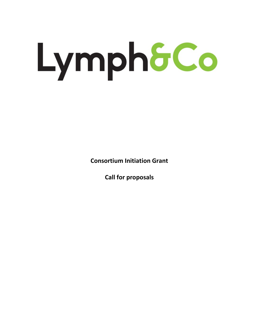# Lymph&Co

**Consortium Initiation Grant**

**Call for proposals**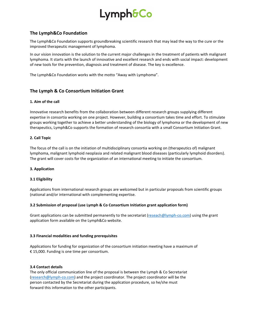# Lymph&Co

# **The Lymph&Co Foundation**

The Lymph&Co Foundation supports groundbreaking scientific research that may lead the way to the cure or the improved therapeutic management of lymphoma.

In our vision innovation is the solution to the current major challenges in the treatment of patients with malignant lymphoma. It starts with the launch of innovative and excellent research and ends with social impact: development of new tools for the prevention, diagnosis and treatment of disease. The key is excellence.

The Lymph&Co Foundation works with the motto "Away with Lymphoma".

# **The Lymph & Co Consortium Initiation Grant**

### **1. Aim of the call**

Innovative research benefits from the collaboration between different research groups supplying different expertise in consortia working on one project. However, building a consortium takes time and effort. To stimulate groups working together to achieve a better understanding of the biology of lymphoma or the development of new therapeutics, Lymph&Co supports the formation of research consortia with a small Consortium Initiation Grant.

### **2. Call Topic**

The focus of the call is on the initiation of multidisciplinary consortia working on (therapeutics of) malignant lymphoma, malignant lymphoid neoplasia and related malignant blood diseases (particularly lymphoid disorders). The grant will cover costs for the organization of an international meeting to initiate the consortium.

### **3. Application**

### **3.1 Eligibility**

Applications from international research groups are welcomed but in particular proposals from scientific groups (national and/or international with complementing expertise.

### **3.2 Submission of proposal (use Lymph & Co Consortium Initiation grant application form)**

Grant applications can be submitted permanently to the secretariat [\(reseach@lymph-co.com\)](mailto:reseach@lymph-co.com) using the grant application form available on the Lymph&Co website.

### **3.3 Financial modalities and funding prerequisites**

Applications for funding for organization of the consortium initiation meeting have a maximum of € 15,000. Funding is one time per consortium.

### **3.4 Contact details**

The only official communication line of the proposal is between the Lymph & Co Secretariat [\(research@lymph-co.com\)](mailto:research@lymph-co.com) and the project coordinator. The project coordinator will be the person contacted by the Secretariat during the application procedure, so he/she must forward this information to the other participants.